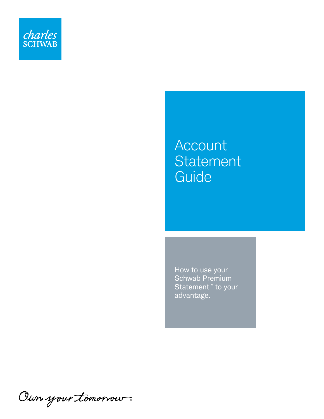

# Account **Statement Guide**

How to use your Schwab Premium Statement<sup>™</sup> to your advantage.

Oun your tomorrow.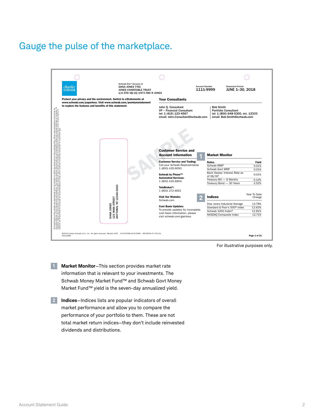#### Gauge the pulse of the marketplace.



For illustrative purposes only.

- **1 Market Monitor**–This section provides market rate information that is relevant to your investments. The Schwab Money Market Fund™ and Schwab Govt Money Market Fund™ yield is the seven-day annualized yield.
- **2 Indices**—Indices lists are popular indicators of overall market performance and allow you to compare the performance of your portfolio to them. These are not total market return indices—they don't include reinvested dividends and distributions.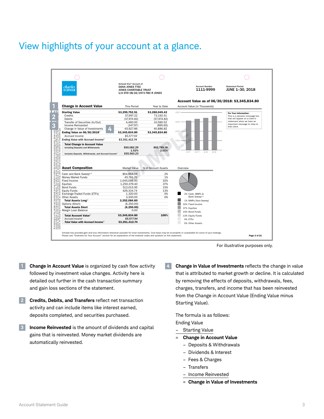# View highlights of your account at a glance.



For illustrative purposes only.

- **1 Change in Account Value** is organized by cash flow activity followed by investment value changes. Activity here is detailed out further in the cash transaction summary and gain loss sections of the statement.
- **2 Credits, Debits, and Transfers** reflect net transaction activity and can include items like interest earned, deposits completed, and securities purchased.
- **3 Income Reinvested** is the amount of dividends and capital gains that is reinvested. Money market dividends are automatically reinvested.

**4 Change in Value of Investments** reflects the change in value that is attributed to market growth or decline. It is calculated by removing the effects of deposits, withdrawals, fees, charges, transfers, and income that has been reinvested from the Change in Account Value (Ending Value minus Starting Value).

The formula is as follows: Ending Value

- **Starting Value**
- **Change in Account Value** 
	- Deposits & Withdrawals
	- Dividends & Interest
	- Fees & Charges
	- Transfers
	- Income Reinvested
	- = **Change in Value of Investments**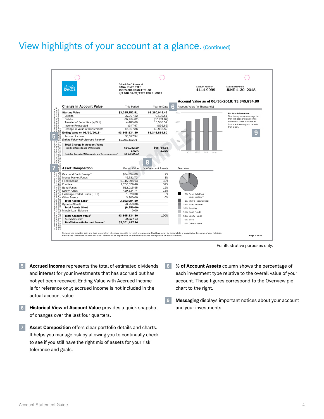#### View highlights of your account at a glance. (Continued)



For illustrative purposes only.

- **5 Accrued Income** represents the total of estimated dividends and interest for your investments that has accrued but has not yet been received. Ending Value with Accrued Income is for reference only; accrued income is not included in the actual account value.
- **6 Historical View of Account Value** provides a quick snapshot of changes over the last four quarters.
- **7 Asset Composition** offers clear portfolio details and charts. It helps you manage risk by allowing you to continually check to see if you still have the right mix of assets for your risk tolerance and goals.
- **8 % of Account Assets** column shows the percentage of each investment type relative to the overall value of your account. These figures correspond to the Overview pie chart to the right.
- **9 Messaging** displays important notices about your account and your investments.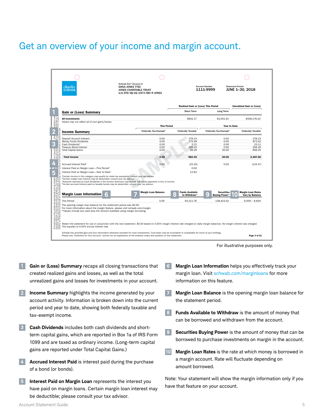#### Get an overview of your income and margin account.

| charles<br><b>SCHWAB</b>                                                                                                                                                                                                                                                 | Schwab One <sup>®</sup> Account of<br><b>DANA JONES TTEE</b><br><b>JONES CHARITABLE TRUST</b><br>U/A DTD 08/22/1973 FBO R JONES                                                                                                                                    |                    |                                            | <b>Account Number</b><br>1111-9999 | <b>Statement Period</b><br>JUNE 1-30, 2018 |
|--------------------------------------------------------------------------------------------------------------------------------------------------------------------------------------------------------------------------------------------------------------------------|--------------------------------------------------------------------------------------------------------------------------------------------------------------------------------------------------------------------------------------------------------------------|--------------------|--------------------------------------------|------------------------------------|--------------------------------------------|
|                                                                                                                                                                                                                                                                          |                                                                                                                                                                                                                                                                    |                    | <b>Realized Gain or (Loss) This Period</b> |                                    | <b>Unrealized Gain or (Loss)</b>           |
| <b>Gain or (Loss) Summary</b>                                                                                                                                                                                                                                            |                                                                                                                                                                                                                                                                    |                    | <b>Short Term</b>                          | Long Term                          |                                            |
| <b>All Investments</b>                                                                                                                                                                                                                                                   |                                                                                                                                                                                                                                                                    |                    | \$652.17                                   | \$3,051.61                         | \$408.176.42                               |
| Values may not reflect all of your gains/losses.                                                                                                                                                                                                                         |                                                                                                                                                                                                                                                                    | <b>This Period</b> |                                            | Year to Date                       |                                            |
| <b>Income Summary</b>                                                                                                                                                                                                                                                    | Federally Tax-Exempt <sup>1</sup>                                                                                                                                                                                                                                  |                    | <b>Federally Taxable</b>                   | Federally Tax-Exempt <sup>1</sup>  | <b>Federally Taxable</b>                   |
| Deposit Account Interest                                                                                                                                                                                                                                                 |                                                                                                                                                                                                                                                                    | 0.00               | 278.23                                     | 0.00                               | 278.23                                     |
| Money Funds Dividends                                                                                                                                                                                                                                                    |                                                                                                                                                                                                                                                                    | 0.00               | 275.48                                     | 0.00                               | 873.42                                     |
| Cash Dividends <sup>3</sup>                                                                                                                                                                                                                                              |                                                                                                                                                                                                                                                                    | 0.00               | 3.21                                       | 0.00                               | 23.11                                      |
| <b>Treasury Bond Interest</b>                                                                                                                                                                                                                                            |                                                                                                                                                                                                                                                                    | 0.00               | 356.25                                     | 0.00                               | 356.25                                     |
| <b>Total Capital Gains</b>                                                                                                                                                                                                                                               |                                                                                                                                                                                                                                                                    | 0.00               | 69.28                                      | 30.00                              | 956.25                                     |
| <b>Total Income</b><br>2                                                                                                                                                                                                                                                 |                                                                                                                                                                                                                                                                    | 0.00               | 982.45                                     | 30.00                              | 2,487.26                                   |
| <b>Accrued Interest Paid<sup>4</sup></b>                                                                                                                                                                                                                                 |                                                                                                                                                                                                                                                                    | 0.00               | (33.25)                                    | 0.00                               | (124.47)                                   |
| ă<br>Interest Paid on Margin Loan-This Period <sup>2</sup>                                                                                                                                                                                                               |                                                                                                                                                                                                                                                                    |                    | 0.00                                       |                                    |                                            |
| Interest Paid on Margin Loan-Year to Date <sup>2</sup>                                                                                                                                                                                                                   | <sup>1</sup> Certain income in this category may qualify for state tax exemption; consult your tax advisor.                                                                                                                                                        |                    | 12.83                                      |                                    |                                            |
| buy.<br>and not intended<br>an oes. The names<br>illustrative purpose<br>mmendations to buy<br><sup>2</sup> Certain margin loan interest may be deductible; consult your tax advisor.                                                                                    | <sup>3</sup> Amounts reported as Cash Dividends in the Income Summary may include substitute payments in lieu of income.<br><sup>4</sup> Certain accrued interest paid on taxable bonds may be deductible; consult your tax advisor.<br><b>Margin Loan Balance</b> |                    | <b>Funds Available</b>                     | <b>Securities</b>                  | <b>Margin Loan Rates</b>                   |
| <b>Margin Loan Information</b>                                                                                                                                                                                                                                           |                                                                                                                                                                                                                                                                    |                    | ł<br>to Withdraw*                          | <b>Buying Power*</b>               | Vary by Balance                            |
| This Period                                                                                                                                                                                                                                                              |                                                                                                                                                                                                                                                                    | 0.00               | 64.211.76                                  | 128.423.52                         | $6.00\% - 8.82\%$                          |
| be con<br>The opening margin loan balance for the statement period was \$0.00.<br>à,<br>*Values include any cash plus the amount available using margin borrowing.<br>investments in this s<br>curate reflection of th<br>amples, figures and d<br>hieve, nor should the | For more information about the margin feature, please visit schwab.com/margin.                                                                                                                                                                                     |                    |                                            |                                    |                                            |

For illustrative purposes only.

- **1 Gain or (Loss) Summary** recaps all closing transactions that created realized gains and losses, as well as the total unrealized gains and losses for investments in your account.
- **2 Income Summary** highlights the income generated by your account activity. Information is broken down into the current period and year to date, showing both federally taxable and tax-exempt income.
- **3 Cash Dividends** includes both cash dividends and shortterm capital gains, which are reported in Box 1a of IRS Form 1099 and are taxed as ordinary income. (Long-term capital gains are reported under Total Capital Gains.)
- **4 Accrued Interest Paid** is interest paid during the purchase of a bond (or bonds).
- **5 Interest Paid on Margin Loan** represents the interest you have paid on margin loans. Certain margin loan interest may be deductible; please consult your tax advisor.
- **6 Margin Loan Information** helps you effectively track your margin loan. Visit [schwab.com/marginloans](http://www.schwab.com/marginloans) for more information on this feature.
- **7 Margin Loan Balance** is the opening margin loan balance for the statement period.
- **8 Funds Available to Withdraw** is the amount of money that can be borrowed and withdrawn from the account.
- **9 Securities Buying Power** is the amount of money that can be borrowed to purchase investments on margin in the account.
- **10 Margin Loan Rates** is the rate at which money is borrowed in a margin account. Rate will fluctuate depending on amount borrowed.

Note: Your statement will show the margin information only if you have that feature on your account.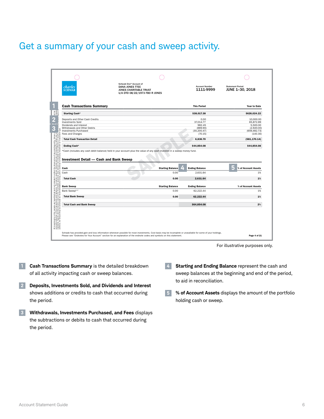# Get a summary of your cash and sweep activity.

| charles<br><b>SCHWAB</b>                                                                                                                                                                                                                                           | Schwab One <sup>®</sup> Account of<br><b>DANA JONES TTEE</b><br>JONES CHARITABLE TRUST<br>U/A DTD 08/22/1973 FBO R JONES | <b>Account Number</b><br>1111-9999 | <b>Statement Period</b><br>JUNE 1-30, 2018                                          |  |
|--------------------------------------------------------------------------------------------------------------------------------------------------------------------------------------------------------------------------------------------------------------------|--------------------------------------------------------------------------------------------------------------------------|------------------------------------|-------------------------------------------------------------------------------------|--|
| <b>Cash Transactions Summary</b>                                                                                                                                                                                                                                   |                                                                                                                          | <b>This Period</b>                 | <b>Year to Date</b>                                                                 |  |
| Starting Cash*                                                                                                                                                                                                                                                     |                                                                                                                          | \$38,017.38                        | \$626,024.22                                                                        |  |
| Deposits and Other Cash Credits<br><b>Investments Sold</b><br>Dividends and Interest                                                                                                                                                                               |                                                                                                                          | 0.00<br>37,014.77<br>982.45        | 10,000.00<br>65,872.89                                                              |  |
| Withdrawals and Other Debits<br><b>Investments Purchased</b>                                                                                                                                                                                                       |                                                                                                                          | (889.90)<br>(30, 200.47)           |                                                                                     |  |
| Fees and Charges                                                                                                                                                                                                                                                   |                                                                                                                          | (70.15)                            |                                                                                     |  |
| <b>Total Cash Transaction Detail</b>                                                                                                                                                                                                                               |                                                                                                                          | 6.836.70                           | 5,500.00<br>(2,920.00)<br>(659, 482.73)<br>(140.30)<br>(581, 170.14)<br>\$44,854.08 |  |
| Ending Cash*                                                                                                                                                                                                                                                       |                                                                                                                          | \$44,854.08                        |                                                                                     |  |
| a of any existing entity. Values a<br>re not intended to reflect any ex<br>inded to be reflective of results<br>id any investment or investment<br><b>Investment Detail - Cash and Bank Sweep</b>                                                                  | *Cash (includes any cash debit balance) held in your account plus the value of any cash invested in a sweep money fund.  |                                    |                                                                                     |  |
| share price of<br>conal and are<br>are not intendent<br>titriue to hold<br>$\frac{5}{2}$<br>Cash                                                                                                                                                                   | <b>Starting Balance</b>                                                                                                  | <b>Ending Balance</b>              | 5<br>% of Account Assets                                                            |  |
| Cash                                                                                                                                                                                                                                                               | 0.00                                                                                                                     | 2.631.64                           | 1%                                                                                  |  |
| <b>Total Cash</b>                                                                                                                                                                                                                                                  | 0.00                                                                                                                     | 2.631.64                           | 1%                                                                                  |  |
| <b>Bank Sweep</b>                                                                                                                                                                                                                                                  | <b>Starting Balance</b>                                                                                                  | <b>Ending Balance</b>              | % of Account Assets                                                                 |  |
| Bank Sweep <sup>x, 2</sup>                                                                                                                                                                                                                                         | 0.00                                                                                                                     | 62.222.44                          | 1%                                                                                  |  |
| <b>Total Bank Sweep</b>                                                                                                                                                                                                                                            | 0.00                                                                                                                     | 62,222.44                          | 1%                                                                                  |  |
| All investments in this sample are hypothetical and not intended to reflect accounte reflection of the transactions and balances . The names used are accurate reflection of the transactions and balances . The names used ar<br><b>Total Cash and Bank Sweep</b> |                                                                                                                          | \$64,854.08                        | 2%                                                                                  |  |

For illustrative purposes only.

- **1 Cash Transactions Summary** is the detailed breakdown of all activity impacting cash or sweep balances.
- **2 Deposits, Investments Sold, and Dividends and Interest**  shows additions or credits to cash that occurred during the period.
- **3 Withdrawals, Investments Purchased, and Fees** displays the subtractions or debits to cash that occurred during the period.
- **4 Starting and Ending Balance** represent the cash and sweep balances at the beginning and end of the period, to aid in reconciliation.
- **5 % of Account Assets** displays the amount of the portfolio holding cash or sweep.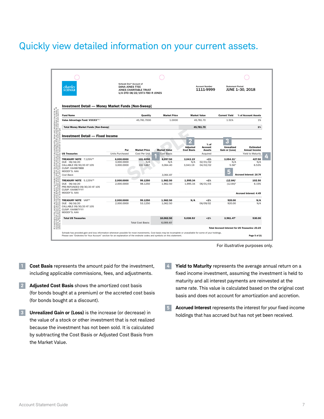#### Quickly view detailed information on your current assets.



For illustrative purposes only.

- **1 Cost Basis** represents the amount paid for the investment, including applicable commissions, fees, and adjustments.
- **2 Adjusted Cost Basis** shows the amortized cost basis (for bonds bought at a premium) or the accreted cost basis (for bonds bought at a discount).
- **3 Unrealized Gain or (Loss)** is the increase (or decrease) in the value of a stock or other investment that is not realized because the investment has not been sold. It is calculated by subtracting the Cost Basis or Adjusted Cost Basis from the Market Value.
- **4 Yield to Maturity** represents the average annual return on a fixed income investment, assuming the investment is held to maturity and all interest payments are reinvested at the same rate. This value is calculated based on the original cost basis and does not account for amortization and accretion.
- **5 Accrued Interest** represents the interest for your fixed income holdings that has accrued but has not yet been received.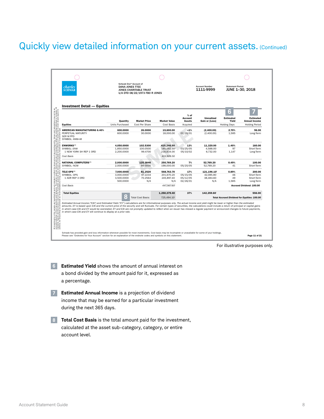# Quickly view detailed information on your current assets. (Continued)

| <b>Investment Detail - Equities</b> |                 |                          |                     |                                    |                                     |                                                    |                                   |
|-------------------------------------|-----------------|--------------------------|---------------------|------------------------------------|-------------------------------------|----------------------------------------------------|-----------------------------------|
|                                     | Quantity        | <b>Market Price</b>      | <b>Market Value</b> | $%$ of<br>Account<br><b>Assets</b> | <b>Unrealized</b><br>Gain or (Loss) | 6<br><b>Estimated</b><br>Yield                     | Estimated<br><b>Annual Income</b> |
| <b>Equities</b>                     | Units Purchased | Cost Per Share           | Cost Basis          | Acquired                           |                                     | <b>Holding Days</b>                                | <b>Holding Period</b>             |
| <b>AMERICAN MANUFACTURING 6.40%</b> | 600.0000        | 26.0000                  | 15.600.00           | $-1%$                              | (2,400.00)                          | 2.70%                                              | 96.00                             |
| PERPETUAL MATURITY                  | 600,0000        | 30,0000                  | 18,000.00           | 02/26/01                           | (2,400.00)                          | 1.585                                              | Long-Term                         |
| <b>SER M PFD</b><br>SYMBOL: ANM+M   |                 |                          |                     |                                    |                                     |                                                    |                                   |
| <b>ENWORKS(M)</b>                   | 4.050.0000      | 102.5300                 | 415.246.50          | 13%                                | 11.320.00                           | 1.40%                                              | 160.00                            |
| SYMBOL: ENW                         | 1.850.0000      | 100.0500                 | 185.092.50          | 03/25/05                           | 4.588.00                            | 97                                                 | Short-Term                        |
| 1 NEW YORK SH REP 1 ORD             | 2.200.0000      | 99,4700                  | 218.834.00          | 05/10/02                           | 6.732.00                            | 1.147                                              | Long-Term                         |
| Cost Basis                          |                 |                          | 403.926.50          |                                    |                                     |                                                    |                                   |
| <b>NATIONAL COMPUTERS(M)</b>        | 2.000.0000      | 125.3846                 | 250.769.20          | 7%                                 | 52.769.20                           | 0.49%                                              | 100.00                            |
| SYMBOL: NCM                         | 2.000.0000      | 99,0000                  | 198,000,00          | 05/20/05                           | 52,769.20                           | 41                                                 | Short-Term                        |
| TELE-OPS(M)                         | 7.000.0000      | 81.2520                  | 568.763.70          | 17%                                | 121.196.10                          | 0.89%                                              | 200.00                            |
| SYMBOL: OPS                         | 3,000,0000      | 67,2234                  | 201.670.20          | 05/15/05                           | 42.085.80                           | 46                                                 | Short-Term                        |
| 1 ADR REP 3 ORD                     | 3,500.0000      | 70.2564                  | 245.897.40          | 05/12/05                           | 38.484.60                           | 49                                                 | Short-Term                        |
|                                     | 500,0000        | N/A                      | N/A                 | 02/26/01                           | N/A                                 | 1,585                                              | Long-Term                         |
| Cost Basis                          |                 |                          | 447,567.60          |                                    |                                     |                                                    | <b>Accrued Dividend: 100.00</b>   |
| <b>Total Equities</b>               |                 |                          | 1,250,379.40        | 37%                                | 142,259.60                          |                                                    | 556.00                            |
|                                     | ł               | <b>Total Cost Basis:</b> | 725.494.10          |                                    |                                     | <b>Total Accrued Dividend for Equities: 100.00</b> |                                   |

For illustrative purposes only.

**6 Estimated Yield** shows the amount of annual interest on a bond divided by the amount paid for it, expressed as a percentage.

**7 Estimated Annual Income** is a projection of dividend income that may be earned for a particular investment during the next 365 days.

**8 Total Cost Basis** is the total amount paid for the investment, calculated at the asset sub-category, category, or entire account level.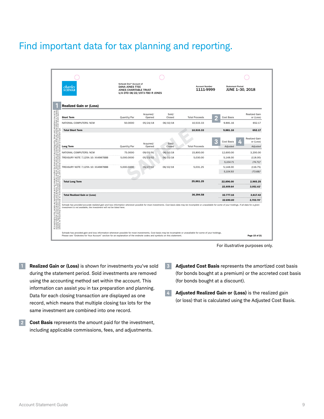# Find important data for tax planning and reporting.

| <b>Realized Gain or (Loss)</b>                                                                                                                                         |              | Acquired/           | Sold/           |                       |                                    | <b>Realized Gain</b>                                                 |
|------------------------------------------------------------------------------------------------------------------------------------------------------------------------|--------------|---------------------|-----------------|-----------------------|------------------------------------|----------------------------------------------------------------------|
| <b>Short Term</b>                                                                                                                                                      | Quantity/Par | Opened              | Closed          | <b>Total Proceeds</b> | Cost Basis                         | or (Loss)                                                            |
| NATIONAL COMPUTERS: NCM                                                                                                                                                | 50,0000      | 05/24/18            | 06/10/18        | 10.533.33             | 9.881.16                           | 652.17                                                               |
| <b>Total Short Term</b>                                                                                                                                                |              |                     |                 | 10,533.33             | 9,881.16                           | 652.17                                                               |
| g entity. Values and call<br>I to reflect any existing i<br>ective of results that a<br>ent or investment type.<br><b>Long Term</b>                                    | Quantity/Par | Acquired/<br>Opened | Sold/<br>Closed | <b>Total Proceeds</b> | n<br><b>Cost Basis</b><br>Adiusted | <b>Realized Gain</b><br>or (Loss)<br><b>A.R.A.A.A.A.</b><br>Adjusted |
| NATIONAL COMPUTERS: NCM                                                                                                                                                | 75,0000      | 09/03/91            | 06/10/18        | 15,800,00             | 12,600.00                          | 3.200.00                                                             |
| TREASURY NOTE 7.125% 10: XX4987BBB                                                                                                                                     | 5,000,0000   | 05/15/02            | 06/10/18        | 5.030.00              | 5.148.00                           | .<br>(118.00)                                                        |
|                                                                                                                                                                        |              |                     |                 |                       | 5,104.71                           | $(74.71)^b$                                                          |
| TREASURY NOTE 7.125% 10: XX4987BBB                                                                                                                                     | 5,000,0000   | 05/27/02            | 06/10/18        | 5.031.25              | 5.148.00                           | (116.75)                                                             |
|                                                                                                                                                                        |              |                     |                 |                       | 5,104.93                           | $(73.68)^t$                                                          |
| <b>Total Long Term</b>                                                                                                                                                 |              |                     |                 | 25.861.25             | 22.896.00                          | 2.965.25                                                             |
|                                                                                                                                                                        |              |                     |                 |                       | 22,809.64                          | 3,051.61                                                             |
| mple are hypothetical and not intended to<br>transactions and balances. The names us<br>teconstrued as recommendations to buy.<br><b>Total Realized Gain or (Loss)</b> |              |                     |                 | 36,394.58             | 32.777.16                          | 3,617.42                                                             |
|                                                                                                                                                                        |              |                     |                 |                       | 32.690.80                          | 3.703.78                                                             |

For illustrative purposes only.

- **1 Realized Gain or (Loss)** is shown for investments you've sold during the statement period. Sold investments are removed using the accounting method set within the account. This information can assist you in tax preparation and planning. Data for each closing transaction are displayed as one record, which means that multiple closing tax lots for the same investment are combined into one record.
- **2 Cost Basis** represents the amount paid for the investment, including applicable commissions, fees, and adjustments.
- **3 Adjusted Cost Basis** represents the amortized cost basis (for bonds bought at a premium) or the accreted cost basis (for bonds bought at a discount).
- **4 Adjusted Realized Gain or (Loss)** is the realized gain (or loss) that is calculated using the Adjusted Cost Basis.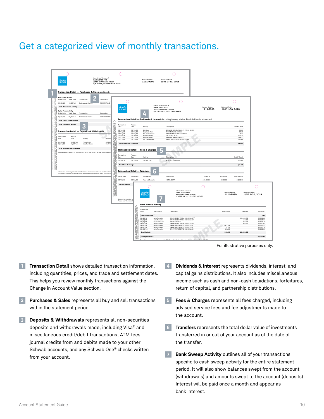#### Get a categorized view of monthly transactions.

| c <i>harles</i><br>schwai                                                                                                                                                                                                                     |                                                                                | Schwab One® Account of<br>DANA JONES TTEE<br><b>JONES CHARITABLE TRUST</b><br>U/A DTD 08/22/1973 FBO R JONES |                                                                                             |                                                                                         | unt Numbe<br>1111-9999                                                                                                                                         | ant Perind<br>JUNE 1-30, 2018                                                                                                                                                                                                                                                                                                                                                                              |                                |                                   |                                                         |                                                                     |                                                                                                                                                  |
|-----------------------------------------------------------------------------------------------------------------------------------------------------------------------------------------------------------------------------------------------|--------------------------------------------------------------------------------|--------------------------------------------------------------------------------------------------------------|---------------------------------------------------------------------------------------------|-----------------------------------------------------------------------------------------|----------------------------------------------------------------------------------------------------------------------------------------------------------------|------------------------------------------------------------------------------------------------------------------------------------------------------------------------------------------------------------------------------------------------------------------------------------------------------------------------------------------------------------------------------------------------------------|--------------------------------|-----------------------------------|---------------------------------------------------------|---------------------------------------------------------------------|--------------------------------------------------------------------------------------------------------------------------------------------------|
| Transaction Detail - Purchases & Sales (continued)<br><b>Bond Funds Activity</b><br>Settle Date<br><b>Trade Date</b><br>06/10/18<br>06/10/18<br><b>Total Bond Funds Activity</b><br><b>Equity Funds Activity</b><br>Settle Date<br>Trade Date | Trans<br>Reinvested Sh                                                         | Description<br><b>INCOME FUND:</b><br>Description                                                            | <i>charles</i><br>schwai                                                                    |                                                                                         |                                                                                                                                                                | Schwab One* Account of<br>DANA JONES TTEE<br><b>JONES CHARITARI E TRUST</b><br>U/A DTD 08/22/1973 FBO R JONES                                                                                                                                                                                                                                                                                              |                                | <b>Account Numbe</b><br>1111-9999 | Statement Perins<br>JUNE 1-30, 2018                     | C 1                                                                 |                                                                                                                                                  |
| 06/10/18<br>06/10/18<br><b>Total Equity Funds Activity</b><br><b>Total Purchases &amp; Sales</b><br><b>Transaction Detail - Deposits &amp; Withdrawals</b><br>Process<br>Transar<br>Date<br>Date                                              | <b>Reinvested Share</b><br>k<br>Activity                                       | <b>TWENTY-FIRST</b><br>Descrip                                                                               | Transaction<br>Date<br>06/10/18<br>06/10/18<br>06/10/18<br>06/10/18<br>08/17/19<br>06/17/18 | Process<br>Date<br>06/13/18<br>06/10/18<br>06/10/18<br>06/10/18<br>06/17/18<br>06/19/18 | Activity<br>Dividend<br>Cap Gain Rein<br>Div For Reinvest<br><b>Bond Interest</b><br>Bank Interest <sup>x, a</sup><br>Div For Reinvest                         | Transaction Detail - Dividends & Interest (including Money Market Fund dividends reinvested)<br>Description<br>SCHWAB MONEY MARKET FUND: SXXXX<br>INCOME FUND: YYXXX<br>TWENTY-FIRST FUND: YTENN<br><b><i>FREASURY NOT</i></b><br>BANK INT XXXXXXXXXXXXX<br>VALUE ADVANTAGE FUND: VXXX)                                                                                                                    |                                |                                   |                                                         | Credit/(Debit)<br>85.00<br>69.28<br>$\frac{3.21}{356.25}$<br>278.23 |                                                                                                                                                  |
| $\frac{06/19/18}{06/27/18}$<br>$\frac{06/19/18}{06/24/18}$<br><b>Total Deposits &amp; Withdrawals</b><br>The total deposits activity for the statement period was \$0.00. The total withdrawals a                                             | Funds Paid<br>Visa Purchas                                                     | <b>SCHWA</b><br>CLAY'S                                                                                       | <b>Total Dividends &amp; Interest</b><br>Transaction<br>Date<br>06/28/18                    | Process<br>Date<br>06/28/18                                                             | <b>Transaction Detail - Fees &amp; Charges</b><br>Activity<br>Service Fee                                                                                      | ۰<br>Description<br>ADVISED QTRLY FEE                                                                                                                                                                                                                                                                                                                                                                      |                                |                                   |                                                         | 982.45<br>Credit/(Debit)<br>(70.15)                                 |                                                                                                                                                  |
| Please see "Endnotes for Your Account" section for an explanation of the endnote                                                                                                                                                              | Schwab has provided gain and loss information whenever possible for most inves |                                                                                                              | <b>Total Fees &amp; Charges</b><br>Settle Date<br>06/28/18<br><b>Total Transfers</b>        | <b>Trade Date</b><br>06/28/18                                                           | â<br><b>Transaction Detail - Transfers</b><br>Transaction<br>Account Transfer                                                                                  | Description<br>HOTEL CORP                                                                                                                                                                                                                                                                                                                                                                                  |                                | Quantity<br>100,0000              | <b>Holt Price</b><br>32,0000                            | (70.15)<br><b>Total Amount</b><br>3,200.00                          |                                                                                                                                                  |
|                                                                                                                                                                                                                                               |                                                                                |                                                                                                              | Schwah has newlded o<br>Please see "Endnotes fo                                             |                                                                                         | <i>charles</i><br>schwai<br><b>Bank Sweep Activity</b>                                                                                                         | Schwab One® Account of<br>DANA JONES TTEE<br><b>JONES CHARITABLE TRUST</b>                                                                                                                                                                                                                                                                                                                                 | U/A DTD 08/22/1973 FBO R JONES |                                   | Account Number<br>1111-9999                             | <b>Statement Period</b>                                             | JUNE 1-30, 2018                                                                                                                                  |
|                                                                                                                                                                                                                                               |                                                                                |                                                                                                              |                                                                                             | į                                                                                       | Transaction<br>Date<br><b>Opening Bala</b><br>06/10/18<br>06/17/18<br>06/17/18<br>$\frac{06/17/18}{06/17/18}$<br>06/17/18<br>06/28/18<br><b>Total Activity</b> | Transaction<br>Description<br>BANK CREDIT FROM BROKERAGE <sup>x, 1</sup><br>Auto Transfer<br>Auto Transfer<br><b>RANK CREDIT FROM RROKERAGE?</b><br><b>BANK INTEREST</b><br>Interest Paid*<br><b>BANK CREDIT FROM BROKERAGE</b><br>Auto Transfe<br><b>BANK TRANSFER TO BROKERAGE</b><br>Auto Transfer<br>Auto Transfer<br>Auto Transfer<br><b>BANK TRANSFER TO BROKERAGE</b><br>BANK TRANSFER TO BROKERAGE |                                |                                   | Withdrawal<br>863.54<br>$\frac{70.15}{26.36}$<br>960.05 | Deposit<br>20,132.68<br>192.89<br>278.23<br>356.25<br>20,960.05     | Ralance <sup>x</sup><br>0.00<br>20,132.68<br>20.325.57<br>20,603.80<br>20,960.05<br>20,096.51<br>20,026.36                                       |
|                                                                                                                                                                                                                                               |                                                                                |                                                                                                              |                                                                                             |                                                                                         | Ending Balance                                                                                                                                                 |                                                                                                                                                                                                                                                                                                                                                                                                            |                                |                                   |                                                         |                                                                     | 20,000.00<br>For illustrative purposes only                                                                                                      |
| ion Detail shows detailed transaction information,<br>quantities, prices, and trade and settlement dates.<br>s vou review monthly transactions against the                                                                                    |                                                                                |                                                                                                              |                                                                                             |                                                                                         |                                                                                                                                                                | $\overline{4}$                                                                                                                                                                                                                                                                                                                                                                                             |                                |                                   |                                                         |                                                                     | Dividends & Interest represents dividends, in<br>capital gains distributions. It also includes m<br>income such as cash and non-cash liquidation |

For illustrative purposes only.

- **1 Transaction Detail** shows detailed transaction information, including quantities, prices, and trade and settlement dates. This helps you review monthly transactions against the Change in Account Value section. *Pending transactions are not included in account value.*
- **2 Purchases & Sales** represents all buy and sell transactions within the statement period.
- **3 Deposits & Withdrawals** represents all non-securities deposits and withdrawals made, including Visa® and miscellaneous credit/debit transactions, ATM fees, journal credits from and debits made to your other Schwab accounts, and any Schwab One® checks written from your account.
- **4 Dividends & Interest** represents dividends, interest, and capital gains distributions. It also includes miscellaneous income such as cash and non-cash liquidations, forfeitures, return of capital, and partnership distributions.
	- **5 Fees & Charges** represents all fees charged, including advised service fees and fee adjustments made to the account.
	- **6 Transfers** represents the total dollar value of investments transferred in or out of your account as of the date of the transfer.
	- **7 Bank Sweep Activity** outlines all of your transactions specific to cash sweep activity for the entire statement period. It will also show balances swept from the account (withdrawals) and amounts swept to the account (deposits). Interest will be paid once a month and appear as bank interest.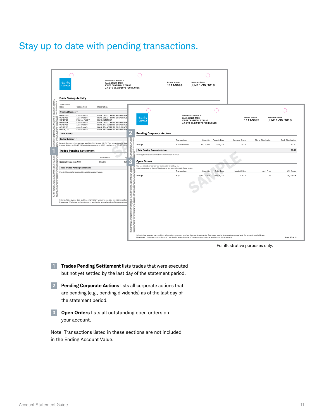# Stay up to date with pending transactions.

|                                                                                                                                                                                                                                      | Schwab One® Account of<br>charles<br><b>DANA JONES TTEE</b><br><b>SCHWAB</b><br><b>JONES CHARITABLE TRUST</b><br>U/A DTD 08/22/1973 FBO R JONES                                                                                                                                                                                                                                                                                                                            |                                                                                                                                                              | <b>Account Number</b><br>1111-9999                                                                                                                                                                                                                                                    | <b>Statement Period</b><br>JUNE 1-30, 2018 |                          |                        |                                      |                            |
|--------------------------------------------------------------------------------------------------------------------------------------------------------------------------------------------------------------------------------------|----------------------------------------------------------------------------------------------------------------------------------------------------------------------------------------------------------------------------------------------------------------------------------------------------------------------------------------------------------------------------------------------------------------------------------------------------------------------------|--------------------------------------------------------------------------------------------------------------------------------------------------------------|---------------------------------------------------------------------------------------------------------------------------------------------------------------------------------------------------------------------------------------------------------------------------------------|--------------------------------------------|--------------------------|------------------------|--------------------------------------|----------------------------|
|                                                                                                                                                                                                                                      | <b>Bank Sweep Activity</b>                                                                                                                                                                                                                                                                                                                                                                                                                                                 |                                                                                                                                                              |                                                                                                                                                                                                                                                                                       |                                            |                          |                        |                                      |                            |
|                                                                                                                                                                                                                                      | Transaction<br>Date<br>Transaction<br>Description                                                                                                                                                                                                                                                                                                                                                                                                                          |                                                                                                                                                              |                                                                                                                                                                                                                                                                                       |                                            |                          |                        |                                      |                            |
|                                                                                                                                                                                                                                      | <b>Opening Balance</b> <sup>x, z</sup>                                                                                                                                                                                                                                                                                                                                                                                                                                     |                                                                                                                                                              |                                                                                                                                                                                                                                                                                       |                                            |                          |                        |                                      |                            |
| s price of any existing entity. Values and calculations may not be an<br>A relation of the price of the price of the state of the state of the state of the state.<br>A internated in the match to need of the will be that a circui | 06/10/18<br>Auto Transfer<br><b>BANK CREDIT FROM BROKERAGE</b><br>06/17/18<br>Auto Transfer<br>BANK CREDIT FROM BROKERAGE<br>Interest Paid <sup>x, z</sup><br>06/17/18<br><b>BANK INTEREST</b><br>06/17/18<br>Auto Transfer<br>BANK CREDIT FROM BROKERAGE<br>06/17/18<br>Auto Transfer<br>BANK TRANSFER TO BROKERAGE<br>06/17/18<br>Auto Transfer<br>BANK TRANSFER TO BROKERAGE<br><b>BANK TRANSFER TO BROKERAGE</b><br>06/28/18<br>Auto Transfer<br><b>Total Activity</b> | charles<br><b>SCHWAB</b><br><b>Pending Corporate Actions</b>                                                                                                 | Schwab One® Account of<br><b>DANA JONES TTEE</b><br>JONES CHARITABLE TRUST                                                                                                                                                                                                            | U/A DTD 08/22/1973 FBO R JONES             |                          | <b>Account Number</b>  | <b>Statement Period</b><br>1111-9999 | JUNE 1-30, 2018            |
|                                                                                                                                                                                                                                      | Ending Balance <sup>x, z</sup>                                                                                                                                                                                                                                                                                                                                                                                                                                             | $\begin{array}{c}\n\phantom{0}8 \\ \phantom{0}8 \\ \phantom{0}8 \\ \phantom{0}8 \\ \phantom{0}8\n\end{array}$                                                |                                                                                                                                                                                                                                                                                       |                                            |                          |                        |                                      |                            |
| 335.                                                                                                                                                                                                                                 | Deposit Accounts: Interest rate as of 06/28/18 was 0.01%. Your interest period was<br>Interest Adjust. on 06/17/18 included the amount of \$0.05 credited as of 05/27/18 to                                                                                                                                                                                                                                                                                                | <b>TeleOps</b>                                                                                                                                               | Transaction<br>Cash Dividend                                                                                                                                                                                                                                                          | Quantity<br>470.0000                       | Payable Date<br>07/15/18 | Rate per Share<br>0.15 | Share Distribution                   | Cash Distribution<br>70.50 |
|                                                                                                                                                                                                                                      | <b>Trades Pending Settlement</b>                                                                                                                                                                                                                                                                                                                                                                                                                                           | <b>Total Pending Corporate Actions</b>                                                                                                                       |                                                                                                                                                                                                                                                                                       |                                            |                          |                        |                                      | 70.50                      |
|                                                                                                                                                                                                                                      | O <sub>n</sub>                                                                                                                                                                                                                                                                                                                                                                                                                                                             | res and calculation<br>y existing individu<br>ats that a dient si<br>Pending transactions are not included in account value.                                 |                                                                                                                                                                                                                                                                                       |                                            |                          |                        |                                      |                            |
| I and not intended to<br>ances. The names<br>rillustrative purpos                                                                                                                                                                    | Transaction<br>400<br><b>National Computer: NCM</b><br>Bought                                                                                                                                                                                                                                                                                                                                                                                                              | B<br><b>Open Orders</b>                                                                                                                                      |                                                                                                                                                                                                                                                                                       |                                            |                          |                        |                                      |                            |
| 333                                                                                                                                                                                                                                  | <b>Total Trades Pending Settlement</b>                                                                                                                                                                                                                                                                                                                                                                                                                                     | You can change or cancel any open order by calling us.<br>ecistic<br>riterides<br>Orders expire as of close of business on the expiration date listed below. |                                                                                                                                                                                                                                                                                       |                                            |                          |                        |                                      |                            |
| hypotheti<br>oris and                                                                                                                                                                                                                | Pending transactions are not included in account value.                                                                                                                                                                                                                                                                                                                                                                                                                    |                                                                                                                                                              | Transaction                                                                                                                                                                                                                                                                           | Quantity                                   | Order Date               | Market Price           | Limit Price                          | Will Expire                |
| gğ                                                                                                                                                                                                                                   |                                                                                                                                                                                                                                                                                                                                                                                                                                                                            | e share price of any e<br>tilonal and are not int<br>lare not intended to t<br>snitnue to hold any int<br><b>TeleOps</b><br>222<br>-83                       | Buy                                                                                                                                                                                                                                                                                   | 1,000.0000                                 | 06/28/18                 | 43.15                  | 45                                   | 08/30/18                   |
|                                                                                                                                                                                                                                      | Schwab has provided gain and loss information whenever possible for most investme<br>Please see "Endnotes for Your Account" section for an explanation of the endnote co                                                                                                                                                                                                                                                                                                   | e a gee                                                                                                                                                      |                                                                                                                                                                                                                                                                                       |                                            |                          |                        |                                      |                            |
|                                                                                                                                                                                                                                      |                                                                                                                                                                                                                                                                                                                                                                                                                                                                            |                                                                                                                                                              | Schwab has provided gain and loss information whenever possible for most investments. Cost basis may be incomplete or unavailable for some of your holdings.<br>Please see "Endnotes for Your Account" section for an explanation of the endnote codes and symbols on this statement. |                                            |                          |                        |                                      | Page 20 of 21              |

For illustrative purposes only.

- **1 Trades Pending Settlement** lists trades that were executed but not yet settled by the last day of the statement period.
- **2 Pending Corporate Actions** lists all corporate actions that are pending (e.g., pending dividends) as of the last day of the statement period.
- **3 Open Orders** lists all outstanding open orders on your account.

Note: Transactions listed in these sections are not included in the Ending Account Value.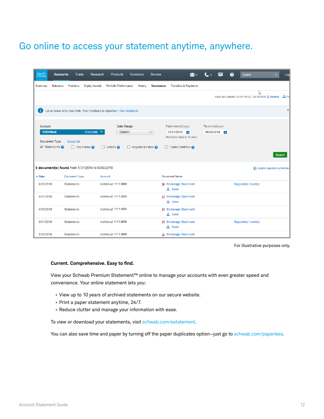# Go online to access your statement anytime, anywhere.

| charles<br>sCHWAB | <b>Accounts</b>                                                          | Trade                                          | <b>Research</b>                                 | <b>Products</b>                                                       | Guidance                       | <b>Service</b>    | $\mathbb{M}$ v                                                                                   | ⋿                                | ℯ<br>Search                                          |   | $\alpha$                             | Log              |
|-------------------|--------------------------------------------------------------------------|------------------------------------------------|-------------------------------------------------|-----------------------------------------------------------------------|--------------------------------|-------------------|--------------------------------------------------------------------------------------------------|----------------------------------|------------------------------------------------------|---|--------------------------------------|------------------|
| Summary           | <b>Balances</b>                                                          | <b>Positions</b>                               | <b>Equity Awards</b>                            | <b>Portfolio Performance</b>                                          | History                        | <b>Statements</b> | <b>Transfers &amp; Payments</b>                                                                  |                                  |                                                      |   |                                      |                  |
|                   |                                                                          |                                                |                                                 |                                                                       |                                |                   |                                                                                                  |                                  | Page last updated: 01:48 PM ET, 05/10/2019 C Refresh | ド |                                      | $\mathbf{p}$ Pri |
| п                 |                                                                          |                                                |                                                 | Let us know what you think. Your feedback is important. Give feedback |                                |                   |                                                                                                  |                                  |                                                      |   |                                      | ×                |
| <b>Account</b>    | <b>Individual</b><br>Document Type<br>$\triangledown$ Statements $\odot$ | <b>Select All</b><br>$\Box$ Tax Forms $\Omega$ | 1111-9999 $\sim$                                | Date Range<br>Custom<br>$\Box$ Letters $\odot$                        | $\Box$ Reports & Plans $\odot$ | v                 | From mm/dd/yyyy<br>01/31/2018<br>鹽<br>Maximum range is 10 years<br>$\Box$ Trade Confirms $\odot$ | To mm/dd/yyyy<br>06/30/2018<br>僵 |                                                      |   | <b>Search</b>                        |                  |
|                   |                                                                          |                                                | 6 document(s) found from 1/31/2018 to 6/30/2018 |                                                                       |                                |                   |                                                                                                  |                                  |                                                      |   | <b>图 Update paperless preference</b> |                  |
| Date              |                                                                          | <b>Document Type</b>                           |                                                 | Account                                                               |                                |                   | <b>Document Name</b>                                                                             |                                  |                                                      |   |                                      |                  |
| 6/30/2018         |                                                                          | <b>Statements</b>                              |                                                 | Individual 1111-9999                                                  |                                |                   | <b>囚</b> Brokerage Statement<br>$\perp$ Save                                                     |                                  | Regulatory Insert(s)                                 |   |                                      |                  |
| 5/31/2018         |                                                                          | <b>Statements</b>                              |                                                 | Individual 1111-9999                                                  |                                |                   | <b>ロ</b> Brokerage Statement<br>$\perp$ Save                                                     |                                  |                                                      |   |                                      |                  |
| 4/30/2018         |                                                                          | <b>Statements</b>                              |                                                 | Individual 1111-9999                                                  |                                |                   | <b>囚</b> Brokerage Statement<br>$\perp$ Save                                                     |                                  |                                                      |   |                                      |                  |
| 3/31/2018         |                                                                          | <b>Statements</b>                              |                                                 | Individual 1111-9999                                                  |                                |                   | <b>囚</b> Brokerage Statement<br>$\perp$ Save                                                     |                                  | Regulatory Insert(s)                                 |   |                                      |                  |
| 2/28/2018         |                                                                          | <b>Statements</b>                              |                                                 | Individual 1111-9999                                                  |                                |                   | <b>E</b> Brokerage Statement                                                                     |                                  |                                                      |   |                                      |                  |

For illustrative purposes only.

#### **Current. Comprehensive. Easy to find.**

View your Schwab Premium Statement™ online to manage your accounts with even greater speed and convenience. Your online statement lets you:

- View up to 10 years of archived statements on our secure website.
- Print a paper statement anytime, 24/7.
- Reduce clutter and manage your information with ease.

To view or download your statements, visit [schwab.com/estatement](http://www.schwab.com/estatement).

You can also save time and paper by turning off the paper duplicates option-just go to [schwab.com/paperless](http://www.schwab.com/paperless).